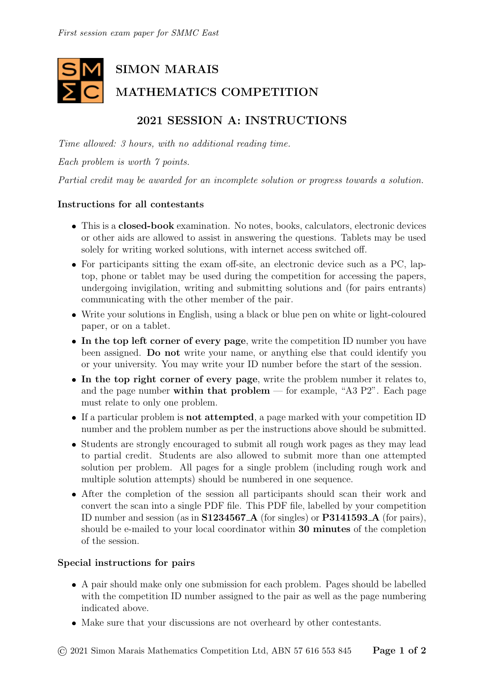# SIMON MARAIS MATHEMATICS COMPETITION

## 2021 SESSION A: INSTRUCTIONS

Time allowed: 3 hours, with no additional reading time.

Each problem is worth 7 points.

Partial credit may be awarded for an incomplete solution or progress towards a solution.

#### Instructions for all contestants

- This is a closed-book examination. No notes, books, calculators, electronic devices or other aids are allowed to assist in answering the questions. Tablets may be used solely for writing worked solutions, with internet access switched off.
- For participants sitting the exam off-site, an electronic device such as a PC, laptop, phone or tablet may be used during the competition for accessing the papers, undergoing invigilation, writing and submitting solutions and (for pairs entrants) communicating with the other member of the pair.
- Write your solutions in English, using a black or blue pen on white or light-coloured paper, or on a tablet.
- In the top left corner of every page, write the competition ID number you have been assigned. Do not write your name, or anything else that could identify you or your university. You may write your ID number before the start of the session.
- In the top right corner of every page, write the problem number it relates to, and the page number within that problem — for example, "A3  $P2$ ". Each page must relate to only one problem.
- If a particular problem is not attempted, a page marked with your competition ID number and the problem number as per the instructions above should be submitted.
- Students are strongly encouraged to submit all rough work pages as they may lead to partial credit. Students are also allowed to submit more than one attempted solution per problem. All pages for a single problem (including rough work and multiple solution attempts) should be numbered in one sequence.
- After the completion of the session all participants should scan their work and convert the scan into a single PDF file. This PDF file, labelled by your competition ID number and session (as in S1234567 A (for singles) or P3141593 A (for pairs), should be e-mailed to your local coordinator within 30 minutes of the completion of the session.

#### Special instructions for pairs

- A pair should make only one submission for each problem. Pages should be labelled with the competition ID number assigned to the pair as well as the page numbering indicated above.
- Make sure that your discussions are not overheard by other contestants.